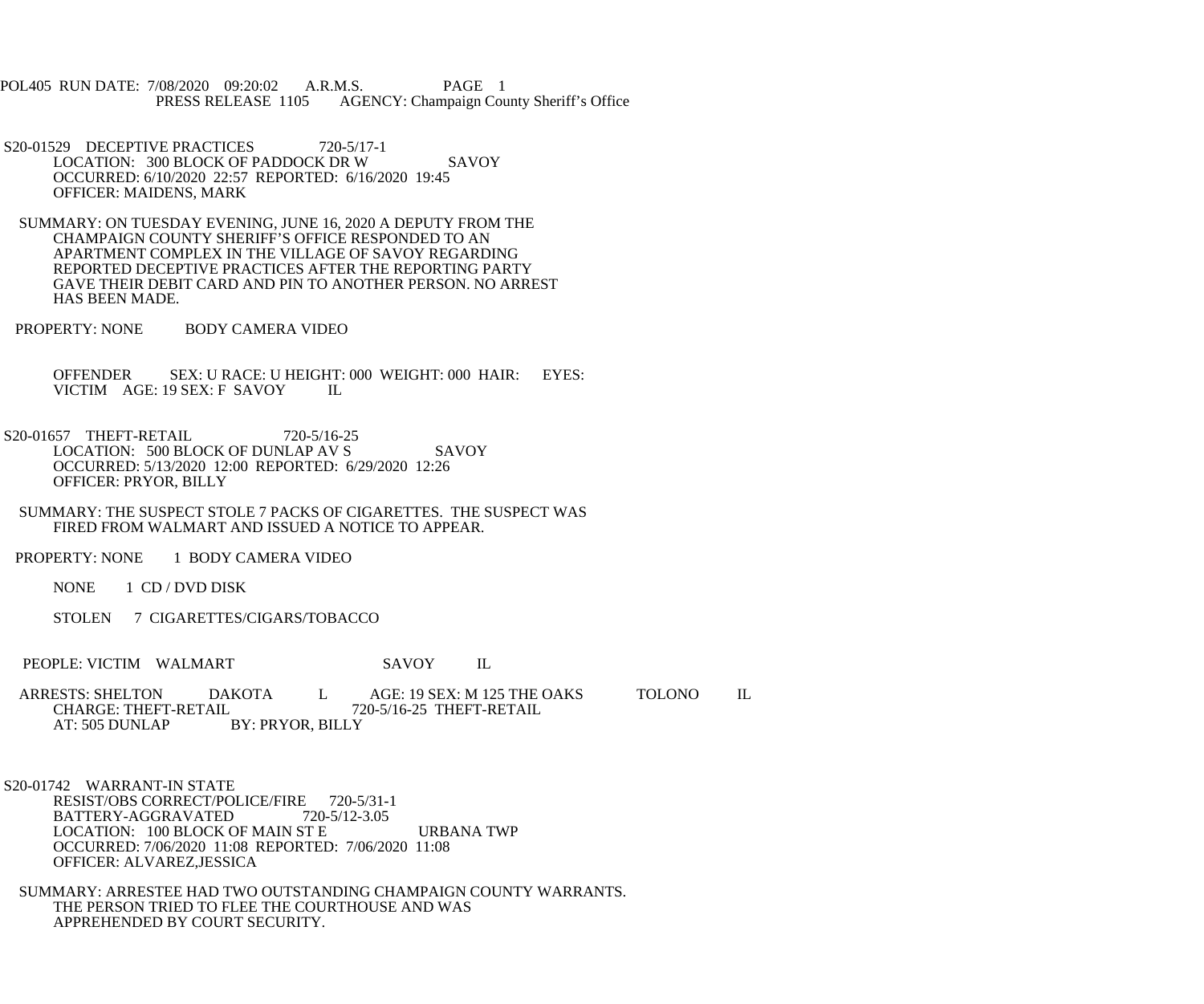POL405 RUN DATE: 7/08/2020 09:20:02 A.R.M.S. PAGE 1<br>PRESS RELEASE 1105 AGENCY: Champaign Cou AGENCY: Champaign County Sheriff's Office

- S20-01529 DECEPTIVE PRACTICES 720-5/17-1 LOCATION: 300 BLOCK OF PADDOCK DR W SAVOY OCCURRED: 6/10/2020 22:57 REPORTED: 6/16/2020 19:45 OFFICER: MAIDENS, MARK
- SUMMARY: ON TUESDAY EVENING, JUNE 16, 2020 A DEPUTY FROM THE CHAMPAIGN COUNTY SHERIFF'S OFFICE RESPONDED TO AN APARTMENT COMPLEX IN THE VILLAGE OF SAVOY REGARDING REPORTED DECEPTIVE PRACTICES AFTER THE REPORTING PARTY GAVE THEIR DEBIT CARD AND PIN TO ANOTHER PERSON. NO ARREST HAS BEEN MADE.
- PROPERTY: NONE BODY CAMERA VIDEO

 OFFENDER SEX: U RACE: U HEIGHT: 000 WEIGHT: 000 HAIR: EYES: VICTIM AGE: 19 SEX: F SAVOY IL

- S20-01657 THEFT-RETAIL 720-5/16-25 LOCATION: 500 BLOCK OF DUNLAP AV S SAVOY OCCURRED: 5/13/2020 12:00 REPORTED: 6/29/2020 12:26 OFFICER: PRYOR, BILLY
- SUMMARY: THE SUSPECT STOLE 7 PACKS OF CIGARETTES. THE SUSPECT WAS FIRED FROM WALMART AND ISSUED A NOTICE TO APPEAR.
- PROPERTY: NONE 1 BODY CAMERA VIDEO
	- NONE 1 CD / DVD DISK
	- STOLEN 7 CIGARETTES/CIGARS/TOBACCO
- PEOPLE: VICTIM WALMART SAVOY IL
- ARRESTS: SHELTON DAKOTA L AGE: 19 SEX: M 125 THE OAKS TOLONO IL CHARGE: THEFT-RETAIL 720-5/16-25 THEFT-RETAIL CHARGE: THEFT-RETAIL 720-5/16-25 THEFT-RETAIL<br>AT: 505 DUNLAP BY: PRYOR, BILLY BY: PRYOR, BILLY
- S20-01742 WARRANT-IN STATE RESIST/OBS CORRECT/POLICE/FIRE 720-5/31-1<br>BATTERY-AGGRAVATED 720-5/12-3.05 BATTERY-AGGRAVATED LOCATION: 100 BLOCK OF MAIN ST E URBANA TWP OCCURRED: 7/06/2020 11:08 REPORTED: 7/06/2020 11:08 OFFICER: ALVAREZ,JESSICA
- SUMMARY: ARRESTEE HAD TWO OUTSTANDING CHAMPAIGN COUNTY WARRANTS. THE PERSON TRIED TO FLEE THE COURTHOUSE AND WAS APPREHENDED BY COURT SECURITY.